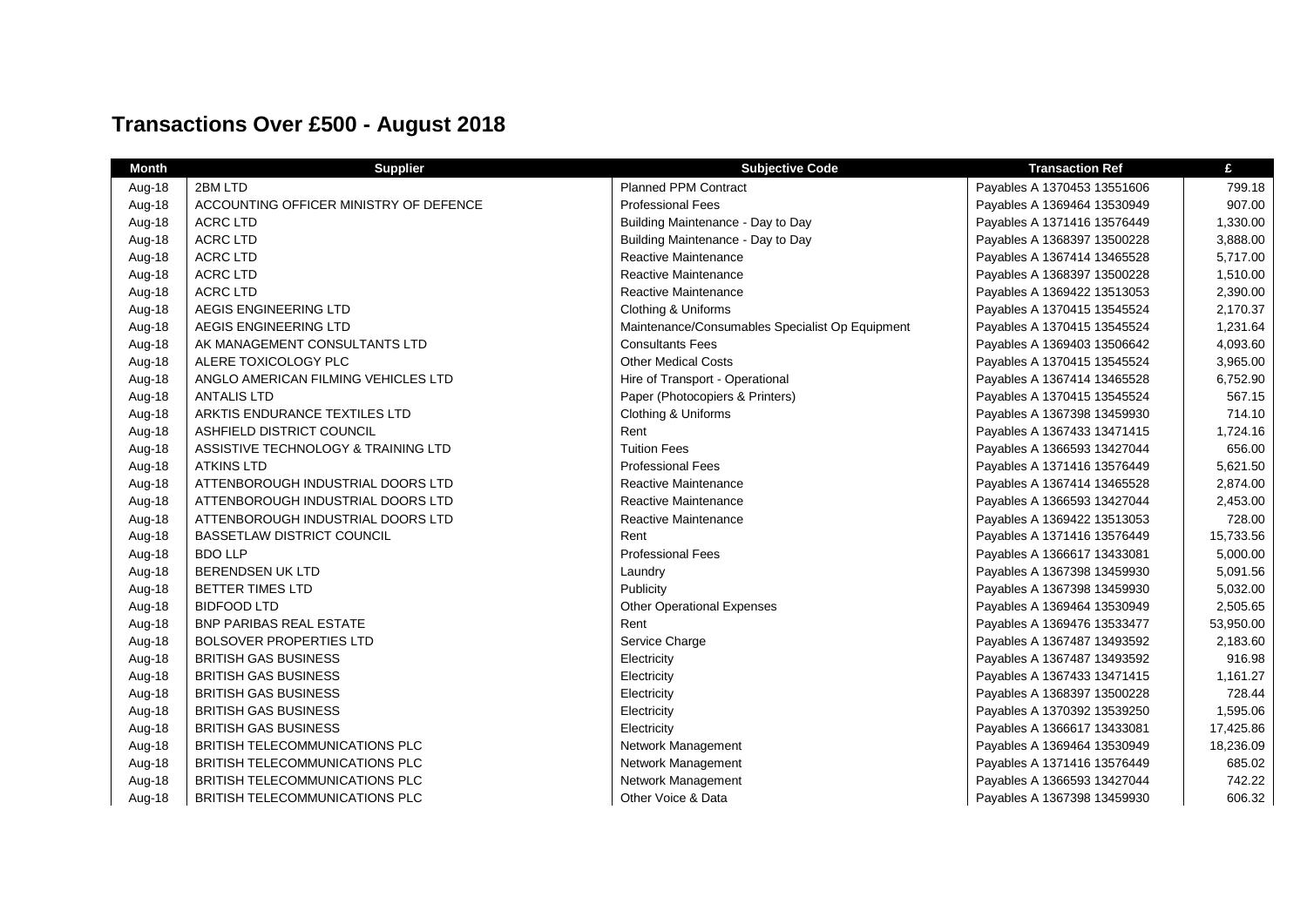## **Transactions Over £500 - August 2018**

| <b>Month</b> | <b>Supplier</b>                        | <b>Subjective Code</b>                          | <b>Transaction Ref</b>      | £         |
|--------------|----------------------------------------|-------------------------------------------------|-----------------------------|-----------|
| Aug-18       | 2BM LTD                                | Planned PPM Contract                            | Payables A 1370453 13551606 | 799.18    |
| Aug-18       | ACCOUNTING OFFICER MINISTRY OF DEFENCE | <b>Professional Fees</b>                        | Payables A 1369464 13530949 | 907.00    |
| Aug-18       | <b>ACRC LTD</b>                        | Building Maintenance - Day to Day               | Payables A 1371416 13576449 | 1,330.00  |
| Aug-18       | <b>ACRC LTD</b>                        | Building Maintenance - Day to Day               | Payables A 1368397 13500228 | 3,888.00  |
| Aug-18       | <b>ACRC LTD</b>                        | Reactive Maintenance                            | Payables A 1367414 13465528 | 5,717.00  |
| Aug-18       | <b>ACRC LTD</b>                        | Reactive Maintenance                            | Payables A 1368397 13500228 | 1,510.00  |
| Aug-18       | <b>ACRC LTD</b>                        | Reactive Maintenance                            | Payables A 1369422 13513053 | 2,390.00  |
| Aug-18       | AEGIS ENGINEERING LTD                  | Clothing & Uniforms                             | Payables A 1370415 13545524 | 2,170.37  |
| Aug-18       | AEGIS ENGINEERING LTD                  | Maintenance/Consumables Specialist Op Equipment | Payables A 1370415 13545524 | 1,231.64  |
| Aug-18       | AK MANAGEMENT CONSULTANTS LTD          | <b>Consultants Fees</b>                         | Payables A 1369403 13506642 | 4,093.60  |
| Aug-18       | ALERE TOXICOLOGY PLC                   | <b>Other Medical Costs</b>                      | Payables A 1370415 13545524 | 3,965.00  |
| Aug-18       | ANGLO AMERICAN FILMING VEHICLES LTD    | Hire of Transport - Operational                 | Payables A 1367414 13465528 | 6,752.90  |
| Aug-18       | <b>ANTALIS LTD</b>                     | Paper (Photocopiers & Printers)                 | Payables A 1370415 13545524 | 567.15    |
| Aug-18       | ARKTIS ENDURANCE TEXTILES LTD          | Clothing & Uniforms                             | Payables A 1367398 13459930 | 714.10    |
| Aug-18       | ASHFIELD DISTRICT COUNCIL              | Rent                                            | Payables A 1367433 13471415 | 1,724.16  |
| Aug-18       | ASSISTIVE TECHNOLOGY & TRAINING LTD    | <b>Tuition Fees</b>                             | Payables A 1366593 13427044 | 656.00    |
| Aug-18       | <b>ATKINS LTD</b>                      | <b>Professional Fees</b>                        | Payables A 1371416 13576449 | 5,621.50  |
| Aug-18       | ATTENBOROUGH INDUSTRIAL DOORS LTD      | Reactive Maintenance                            | Payables A 1367414 13465528 | 2,874.00  |
| Aug-18       | ATTENBOROUGH INDUSTRIAL DOORS LTD      | Reactive Maintenance                            | Payables A 1366593 13427044 | 2,453.00  |
| Aug-18       | ATTENBOROUGH INDUSTRIAL DOORS LTD      | Reactive Maintenance                            | Payables A 1369422 13513053 | 728.00    |
| Aug-18       | <b>BASSETLAW DISTRICT COUNCIL</b>      | Rent                                            | Payables A 1371416 13576449 | 15,733.56 |
| Aug-18       | <b>BDO LLP</b>                         | <b>Professional Fees</b>                        | Payables A 1366617 13433081 | 5,000.00  |
| Aug-18       | <b>BERENDSEN UK LTD</b>                | Laundry                                         | Payables A 1367398 13459930 | 5,091.56  |
| Aug-18       | <b>BETTER TIMES LTD</b>                | Publicity                                       | Payables A 1367398 13459930 | 5,032.00  |
| Aug-18       | <b>BIDFOOD LTD</b>                     | <b>Other Operational Expenses</b>               | Payables A 1369464 13530949 | 2,505.65  |
| Aug-18       | <b>BNP PARIBAS REAL ESTATE</b>         | Rent                                            | Payables A 1369476 13533477 | 53,950.00 |
| Aug-18       | <b>BOLSOVER PROPERTIES LTD</b>         | Service Charge                                  | Payables A 1367487 13493592 | 2,183.60  |
| Aug-18       | <b>BRITISH GAS BUSINESS</b>            | Electricity                                     | Payables A 1367487 13493592 | 916.98    |
| Aug-18       | <b>BRITISH GAS BUSINESS</b>            | Electricity                                     | Payables A 1367433 13471415 | 1,161.27  |
| Aug-18       | <b>BRITISH GAS BUSINESS</b>            | Electricity                                     | Payables A 1368397 13500228 | 728.44    |
| Aug-18       | <b>BRITISH GAS BUSINESS</b>            | Electricity                                     | Payables A 1370392 13539250 | 1,595.06  |
| Aug-18       | <b>BRITISH GAS BUSINESS</b>            | Electricity                                     | Payables A 1366617 13433081 | 17,425.86 |
| Aug-18       | BRITISH TELECOMMUNICATIONS PLC         | Network Management                              | Payables A 1369464 13530949 | 18,236.09 |
| Aug-18       | BRITISH TELECOMMUNICATIONS PLC         | Network Management                              | Payables A 1371416 13576449 | 685.02    |
| Aug-18       | BRITISH TELECOMMUNICATIONS PLC         | Network Management                              | Payables A 1366593 13427044 | 742.22    |
| Aug-18       | BRITISH TELECOMMUNICATIONS PLC         | Other Voice & Data                              | Payables A 1367398 13459930 | 606.32    |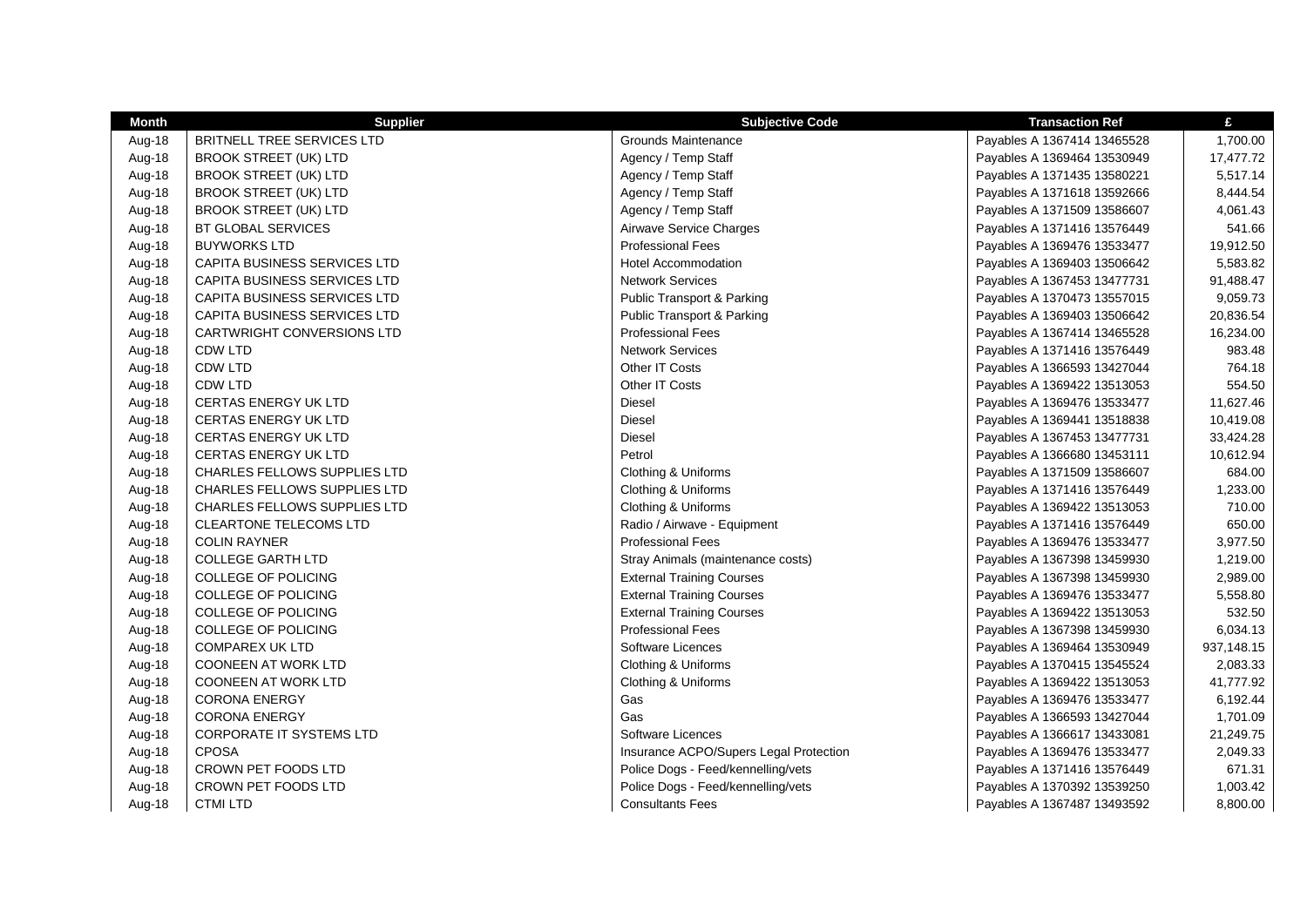| Month  | <b>Supplier</b>                     | <b>Subjective Code</b>                 | <b>Transaction Ref</b>      | £          |
|--------|-------------------------------------|----------------------------------------|-----------------------------|------------|
| Aug-18 | BRITNELL TREE SERVICES LTD          | Grounds Maintenance                    | Payables A 1367414 13465528 | 1,700.00   |
| Aug-18 | <b>BROOK STREET (UK) LTD</b>        | Agency / Temp Staff                    | Payables A 1369464 13530949 | 17,477.72  |
| Aug-18 | <b>BROOK STREET (UK) LTD</b>        | Agency / Temp Staff                    | Payables A 1371435 13580221 | 5,517.14   |
| Aug-18 | <b>BROOK STREET (UK) LTD</b>        | Agency / Temp Staff                    | Payables A 1371618 13592666 | 8,444.54   |
| Aug-18 | <b>BROOK STREET (UK) LTD</b>        | Agency / Temp Staff                    | Payables A 1371509 13586607 | 4,061.43   |
| Aug-18 | BT GLOBAL SERVICES                  | Airwave Service Charges                | Payables A 1371416 13576449 | 541.66     |
| Aug-18 | <b>BUYWORKS LTD</b>                 | <b>Professional Fees</b>               | Payables A 1369476 13533477 | 19,912.50  |
| Aug-18 | CAPITA BUSINESS SERVICES LTD        | <b>Hotel Accommodation</b>             | Payables A 1369403 13506642 | 5,583.82   |
| Aug-18 | CAPITA BUSINESS SERVICES LTD        | <b>Network Services</b>                | Payables A 1367453 13477731 | 91,488.47  |
| Aug-18 | CAPITA BUSINESS SERVICES LTD        | <b>Public Transport &amp; Parking</b>  | Payables A 1370473 13557015 | 9,059.73   |
| Aug-18 | CAPITA BUSINESS SERVICES LTD        | <b>Public Transport &amp; Parking</b>  | Payables A 1369403 13506642 | 20,836.54  |
| Aug-18 | CARTWRIGHT CONVERSIONS LTD          | <b>Professional Fees</b>               | Payables A 1367414 13465528 | 16,234.00  |
| Aug-18 | <b>CDW LTD</b>                      | <b>Network Services</b>                | Payables A 1371416 13576449 | 983.48     |
| Aug-18 | CDW LTD                             | Other IT Costs                         | Payables A 1366593 13427044 | 764.18     |
| Aug-18 | <b>CDW LTD</b>                      | Other IT Costs                         | Payables A 1369422 13513053 | 554.50     |
| Aug-18 | <b>CERTAS ENERGY UK LTD</b>         | <b>Diesel</b>                          | Payables A 1369476 13533477 | 11,627.46  |
| Aug-18 | <b>CERTAS ENERGY UK LTD</b>         | <b>Diesel</b>                          | Payables A 1369441 13518838 | 10,419.08  |
| Aug-18 | CERTAS ENERGY UK LTD                | <b>Diesel</b>                          | Payables A 1367453 13477731 | 33,424.28  |
| Aug-18 | <b>CERTAS ENERGY UK LTD</b>         | Petrol                                 | Payables A 1366680 13453111 | 10,612.94  |
| Aug-18 | CHARLES FELLOWS SUPPLIES LTD        | Clothing & Uniforms                    | Payables A 1371509 13586607 | 684.00     |
| Aug-18 | CHARLES FELLOWS SUPPLIES LTD        | Clothing & Uniforms                    | Payables A 1371416 13576449 | 1,233.00   |
| Aug-18 | <b>CHARLES FELLOWS SUPPLIES LTD</b> | Clothing & Uniforms                    | Payables A 1369422 13513053 | 710.00     |
| Aug-18 | <b>CLEARTONE TELECOMS LTD</b>       | Radio / Airwave - Equipment            | Payables A 1371416 13576449 | 650.00     |
| Aug-18 | <b>COLIN RAYNER</b>                 | <b>Professional Fees</b>               | Payables A 1369476 13533477 | 3,977.50   |
| Aug-18 | <b>COLLEGE GARTH LTD</b>            | Stray Animals (maintenance costs)      | Payables A 1367398 13459930 | 1,219.00   |
| Aug-18 | <b>COLLEGE OF POLICING</b>          | <b>External Training Courses</b>       | Payables A 1367398 13459930 | 2,989.00   |
| Aug-18 | <b>COLLEGE OF POLICING</b>          | <b>External Training Courses</b>       | Payables A 1369476 13533477 | 5,558.80   |
| Aug-18 | <b>COLLEGE OF POLICING</b>          | <b>External Training Courses</b>       | Payables A 1369422 13513053 | 532.50     |
| Aug-18 | <b>COLLEGE OF POLICING</b>          | <b>Professional Fees</b>               | Payables A 1367398 13459930 | 6,034.13   |
| Aug-18 | <b>COMPAREX UK LTD</b>              | Software Licences                      | Payables A 1369464 13530949 | 937,148.15 |
| Aug-18 | <b>COONEEN AT WORK LTD</b>          | Clothing & Uniforms                    | Payables A 1370415 13545524 | 2,083.33   |
| Aug-18 | COONEEN AT WORK LTD                 | Clothing & Uniforms                    | Payables A 1369422 13513053 | 41,777.92  |
| Aug-18 | <b>CORONA ENERGY</b>                | Gas                                    | Payables A 1369476 13533477 | 6,192.44   |
| Aug-18 | <b>CORONA ENERGY</b>                | Gas                                    | Payables A 1366593 13427044 | 1,701.09   |
| Aug-18 | <b>CORPORATE IT SYSTEMS LTD</b>     | Software Licences                      | Payables A 1366617 13433081 | 21,249.75  |
| Aug-18 | <b>CPOSA</b>                        | Insurance ACPO/Supers Legal Protection | Payables A 1369476 13533477 | 2,049.33   |
| Aug-18 | CROWN PET FOODS LTD                 | Police Dogs - Feed/kennelling/vets     | Payables A 1371416 13576449 | 671.31     |
| Aug-18 | CROWN PET FOODS LTD                 | Police Dogs - Feed/kennelling/vets     | Payables A 1370392 13539250 | 1,003.42   |
| Aug-18 | <b>CTMI LTD</b>                     | <b>Consultants Fees</b>                | Payables A 1367487 13493592 | 8,800.00   |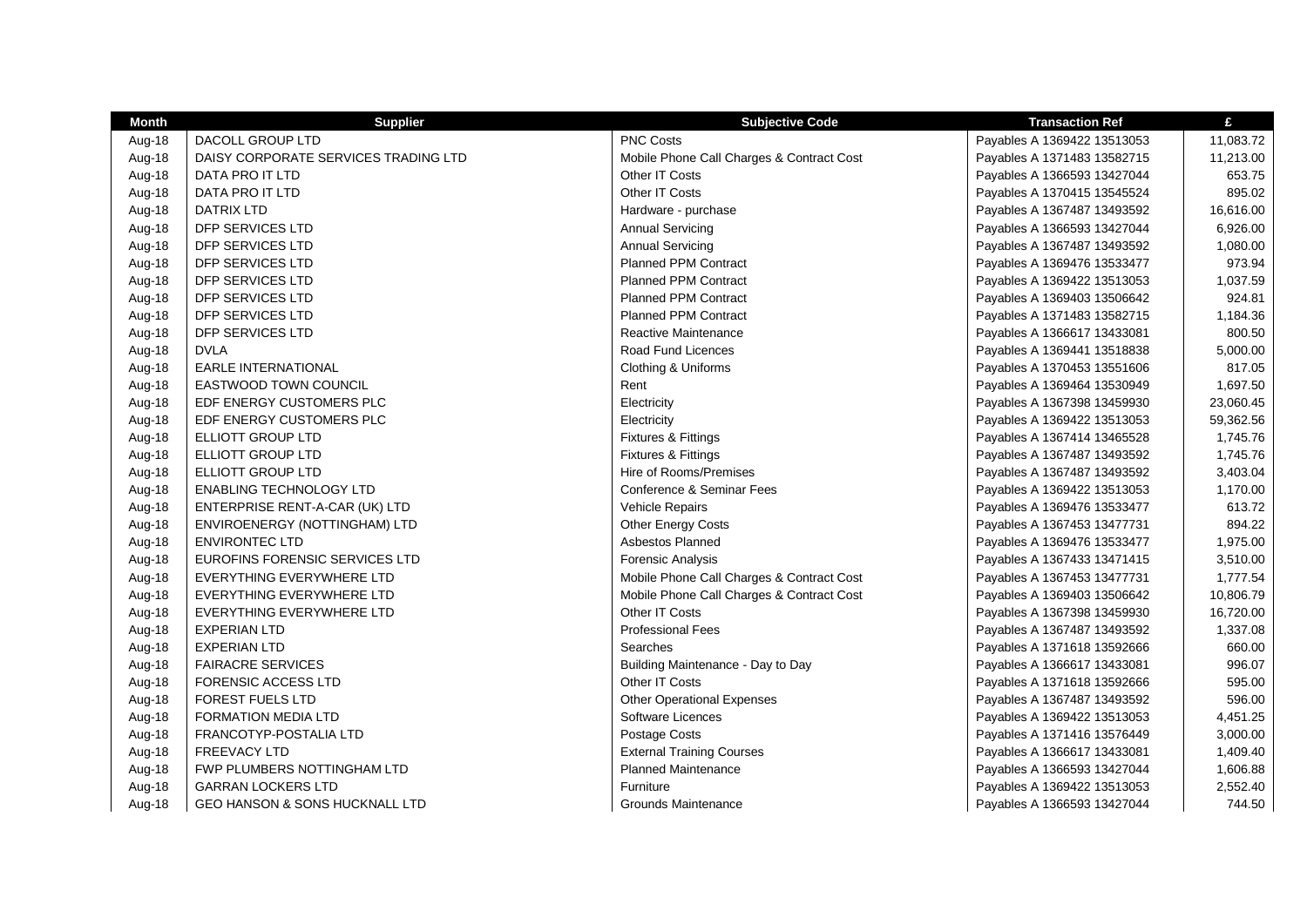| <b>Month</b> | <b>Supplier</b>                           | <b>Subjective Code</b>                    | <b>Transaction Ref</b>      | £         |
|--------------|-------------------------------------------|-------------------------------------------|-----------------------------|-----------|
| Aug-18       | <b>DACOLL GROUP LTD</b>                   | <b>PNC Costs</b>                          | Payables A 1369422 13513053 | 11,083.72 |
| Aug-18       | DAISY CORPORATE SERVICES TRADING LTD      | Mobile Phone Call Charges & Contract Cost | Payables A 1371483 13582715 | 11,213.00 |
| Aug-18       | DATA PRO IT LTD                           | Other IT Costs                            | Payables A 1366593 13427044 | 653.75    |
| Aug-18       | DATA PRO IT LTD                           | Other IT Costs                            | Payables A 1370415 13545524 | 895.02    |
| Aug-18       | <b>DATRIX LTD</b>                         | Hardware - purchase                       | Payables A 1367487 13493592 | 16,616.00 |
| Aug-18       | DFP SERVICES LTD                          | <b>Annual Servicing</b>                   | Payables A 1366593 13427044 | 6,926.00  |
| Aug-18       | DFP SERVICES LTD                          | <b>Annual Servicing</b>                   | Payables A 1367487 13493592 | 1,080.00  |
| Aug-18       | DFP SERVICES LTD                          | <b>Planned PPM Contract</b>               | Payables A 1369476 13533477 | 973.94    |
| Aug-18       | DFP SERVICES LTD                          | <b>Planned PPM Contract</b>               | Payables A 1369422 13513053 | 1,037.59  |
| Aug-18       | DFP SERVICES LTD                          | <b>Planned PPM Contract</b>               | Payables A 1369403 13506642 | 924.81    |
| Aug-18       | DFP SERVICES LTD                          | <b>Planned PPM Contract</b>               | Payables A 1371483 13582715 | 1,184.36  |
| Aug-18       | DFP SERVICES LTD                          | <b>Reactive Maintenance</b>               | Payables A 1366617 13433081 | 800.50    |
| Aug-18       | <b>DVLA</b>                               | Road Fund Licences                        | Payables A 1369441 13518838 | 5,000.00  |
| Aug-18       | <b>EARLE INTERNATIONAL</b>                | Clothing & Uniforms                       | Payables A 1370453 13551606 | 817.05    |
| Aug-18       | <b>EASTWOOD TOWN COUNCIL</b>              | Rent                                      | Payables A 1369464 13530949 | 1,697.50  |
| Aug-18       | EDF ENERGY CUSTOMERS PLC                  | Electricity                               | Payables A 1367398 13459930 | 23,060.45 |
| Aug-18       | EDF ENERGY CUSTOMERS PLC                  | Electricity                               | Payables A 1369422 13513053 | 59,362.56 |
| Aug-18       | ELLIOTT GROUP LTD                         | Fixtures & Fittings                       | Payables A 1367414 13465528 | 1,745.76  |
| Aug-18       | ELLIOTT GROUP LTD                         | Fixtures & Fittings                       | Payables A 1367487 13493592 | 1,745.76  |
| Aug-18       | ELLIOTT GROUP LTD                         | Hire of Rooms/Premises                    | Payables A 1367487 13493592 | 3,403.04  |
| Aug-18       | <b>ENABLING TECHNOLOGY LTD</b>            | Conference & Seminar Fees                 | Payables A 1369422 13513053 | 1,170.00  |
| Aug-18       | ENTERPRISE RENT-A-CAR (UK) LTD            | Vehicle Repairs                           | Payables A 1369476 13533477 | 613.72    |
| Aug-18       | ENVIROENERGY (NOTTINGHAM) LTD             | Other Energy Costs                        | Payables A 1367453 13477731 | 894.22    |
| Aug-18       | <b>ENVIRONTEC LTD</b>                     | Asbestos Planned                          | Payables A 1369476 13533477 | 1,975.00  |
| Aug-18       | EUROFINS FORENSIC SERVICES LTD            | <b>Forensic Analysis</b>                  | Payables A 1367433 13471415 | 3,510.00  |
| Aug-18       | EVERYTHING EVERYWHERE LTD                 | Mobile Phone Call Charges & Contract Cost | Payables A 1367453 13477731 | 1,777.54  |
| Aug-18       | EVERYTHING EVERYWHERE LTD                 | Mobile Phone Call Charges & Contract Cost | Payables A 1369403 13506642 | 10,806.79 |
| Aug-18       | EVERYTHING EVERYWHERE LTD                 | Other IT Costs                            | Payables A 1367398 13459930 | 16,720.00 |
| Aug-18       | <b>EXPERIAN LTD</b>                       | <b>Professional Fees</b>                  | Payables A 1367487 13493592 | 1,337.08  |
| Aug-18       | <b>EXPERIAN LTD</b>                       | Searches                                  | Payables A 1371618 13592666 | 660.00    |
| Aug-18       | <b>FAIRACRE SERVICES</b>                  | Building Maintenance - Day to Day         | Payables A 1366617 13433081 | 996.07    |
| Aug-18       | <b>FORENSIC ACCESS LTD</b>                | Other IT Costs                            | Payables A 1371618 13592666 | 595.00    |
| Aug-18       | FOREST FUELS LTD                          | <b>Other Operational Expenses</b>         | Payables A 1367487 13493592 | 596.00    |
| Aug-18       | <b>FORMATION MEDIA LTD</b>                | Software Licences                         | Payables A 1369422 13513053 | 4,451.25  |
| Aug-18       | FRANCOTYP-POSTALIA LTD                    | Postage Costs                             | Payables A 1371416 13576449 | 3,000.00  |
| Aug-18       | <b>FREEVACY LTD</b>                       | <b>External Training Courses</b>          | Payables A 1366617 13433081 | 1,409.40  |
| Aug-18       | <b>FWP PLUMBERS NOTTINGHAM LTD</b>        | <b>Planned Maintenance</b>                | Payables A 1366593 13427044 | 1,606.88  |
| Aug-18       | <b>GARRAN LOCKERS LTD</b>                 | Furniture                                 | Payables A 1369422 13513053 | 2,552.40  |
| Aug-18       | <b>GEO HANSON &amp; SONS HUCKNALL LTD</b> | Grounds Maintenance                       | Payables A 1366593 13427044 | 744.50    |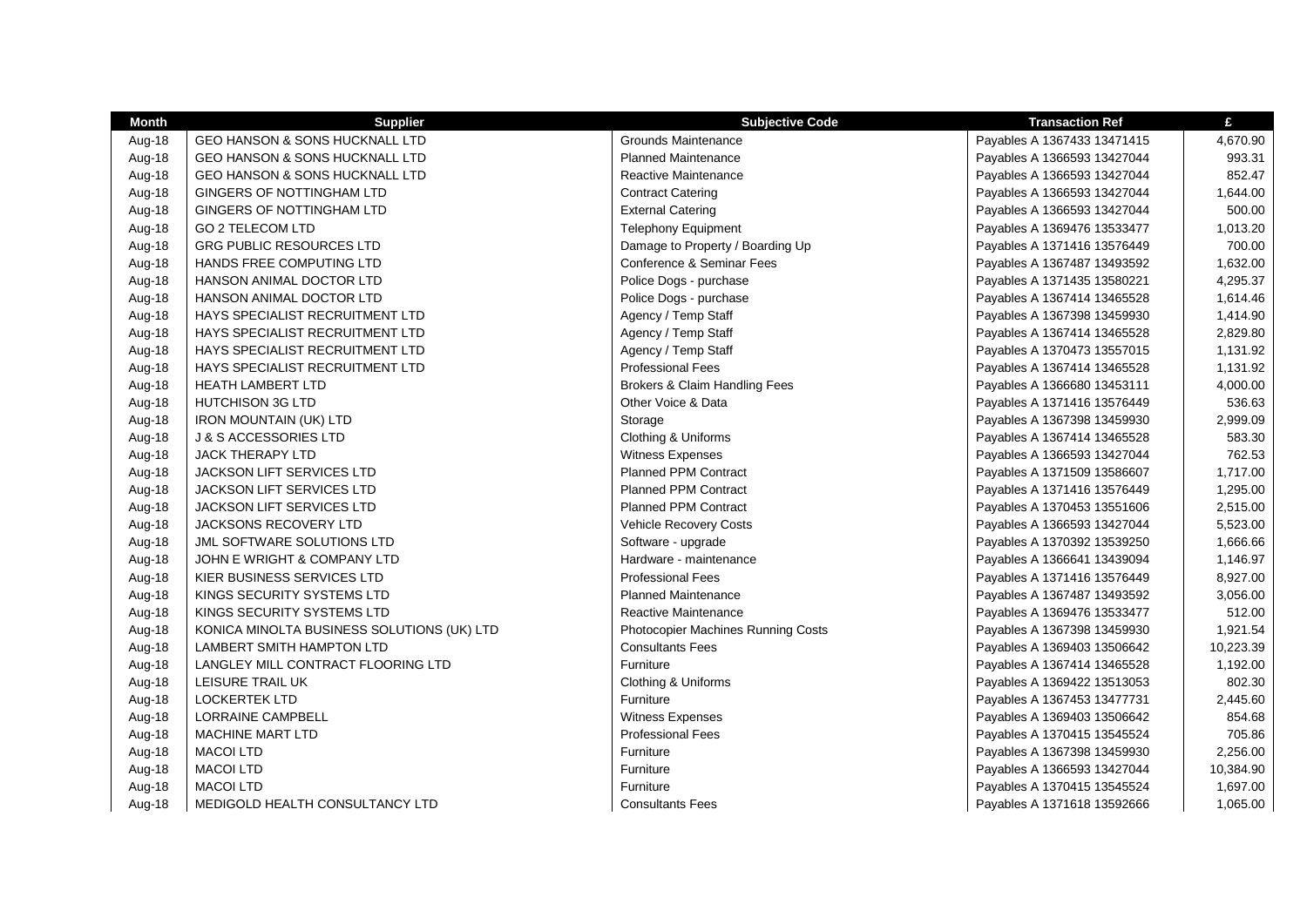| Month  | <b>Supplier</b>                            | <b>Subjective Code</b>                   | <b>Transaction Ref</b>      | £         |
|--------|--------------------------------------------|------------------------------------------|-----------------------------|-----------|
| Aug-18 | GEO HANSON & SONS HUCKNALL LTD             | Grounds Maintenance                      | Payables A 1367433 13471415 | 4,670.90  |
| Aug-18 | <b>GEO HANSON &amp; SONS HUCKNALL LTD</b>  | <b>Planned Maintenance</b>               | Payables A 1366593 13427044 | 993.31    |
| Aug-18 | <b>GEO HANSON &amp; SONS HUCKNALL LTD</b>  | Reactive Maintenance                     | Payables A 1366593 13427044 | 852.47    |
| Aug-18 | GINGERS OF NOTTINGHAM LTD                  | <b>Contract Catering</b>                 | Payables A 1366593 13427044 | 1,644.00  |
| Aug-18 | GINGERS OF NOTTINGHAM LTD                  | <b>External Catering</b>                 | Payables A 1366593 13427044 | 500.00    |
| Aug-18 | <b>GO 2 TELECOM LTD</b>                    | <b>Telephony Equipment</b>               | Payables A 1369476 13533477 | 1,013.20  |
| Aug-18 | GRG PUBLIC RESOURCES LTD                   | Damage to Property / Boarding Up         | Payables A 1371416 13576449 | 700.00    |
| Aug-18 | HANDS FREE COMPUTING LTD                   | Conference & Seminar Fees                | Payables A 1367487 13493592 | 1,632.00  |
| Aug-18 | HANSON ANIMAL DOCTOR LTD                   | Police Dogs - purchase                   | Payables A 1371435 13580221 | 4,295.37  |
| Aug-18 | HANSON ANIMAL DOCTOR LTD                   | Police Dogs - purchase                   | Payables A 1367414 13465528 | 1,614.46  |
| Aug-18 | HAYS SPECIALIST RECRUITMENT LTD            | Agency / Temp Staff                      | Payables A 1367398 13459930 | 1,414.90  |
| Aug-18 | HAYS SPECIALIST RECRUITMENT LTD            | Agency / Temp Staff                      | Payables A 1367414 13465528 | 2,829.80  |
| Aug-18 | HAYS SPECIALIST RECRUITMENT LTD            | Agency / Temp Staff                      | Payables A 1370473 13557015 | 1,131.92  |
| Aug-18 | HAYS SPECIALIST RECRUITMENT LTD            | <b>Professional Fees</b>                 | Payables A 1367414 13465528 | 1,131.92  |
| Aug-18 | <b>HEATH LAMBERT LTD</b>                   | <b>Brokers &amp; Claim Handling Fees</b> | Payables A 1366680 13453111 | 4,000.00  |
| Aug-18 | <b>HUTCHISON 3G LTD</b>                    | Other Voice & Data                       | Payables A 1371416 13576449 | 536.63    |
| Aug-18 | <b>IRON MOUNTAIN (UK) LTD</b>              | Storage                                  | Payables A 1367398 13459930 | 2,999.09  |
| Aug-18 | <b>J &amp; S ACCESSORIES LTD</b>           | Clothing & Uniforms                      | Payables A 1367414 13465528 | 583.30    |
| Aug-18 | <b>JACK THERAPY LTD</b>                    | Witness Expenses                         | Payables A 1366593 13427044 | 762.53    |
| Aug-18 | <b>JACKSON LIFT SERVICES LTD</b>           | <b>Planned PPM Contract</b>              | Payables A 1371509 13586607 | 1,717.00  |
| Aug-18 | JACKSON LIFT SERVICES LTD                  | <b>Planned PPM Contract</b>              | Payables A 1371416 13576449 | 1,295.00  |
| Aug-18 | JACKSON LIFT SERVICES LTD                  | <b>Planned PPM Contract</b>              | Payables A 1370453 13551606 | 2,515.00  |
| Aug-18 | <b>JACKSONS RECOVERY LTD</b>               | Vehicle Recovery Costs                   | Payables A 1366593 13427044 | 5,523.00  |
| Aug-18 | JML SOFTWARE SOLUTIONS LTD                 | Software - upgrade                       | Payables A 1370392 13539250 | 1,666.66  |
| Aug-18 | JOHN E WRIGHT & COMPANY LTD                | Hardware - maintenance                   | Payables A 1366641 13439094 | 1,146.97  |
| Aug-18 | KIER BUSINESS SERVICES LTD                 | <b>Professional Fees</b>                 | Payables A 1371416 13576449 | 8,927.00  |
| Aug-18 | KINGS SECURITY SYSTEMS LTD                 | <b>Planned Maintenance</b>               | Payables A 1367487 13493592 | 3,056.00  |
| Aug-18 | KINGS SECURITY SYSTEMS LTD                 | Reactive Maintenance                     | Payables A 1369476 13533477 | 512.00    |
| Aug-18 | KONICA MINOLTA BUSINESS SOLUTIONS (UK) LTD | Photocopier Machines Running Costs       | Payables A 1367398 13459930 | 1,921.54  |
| Aug-18 | <b>LAMBERT SMITH HAMPTON LTD</b>           | <b>Consultants Fees</b>                  | Payables A 1369403 13506642 | 10,223.39 |
| Aug-18 | LANGLEY MILL CONTRACT FLOORING LTD         | Furniture                                | Payables A 1367414 13465528 | 1,192.00  |
| Aug-18 | LEISURE TRAIL UK                           | Clothing & Uniforms                      | Payables A 1369422 13513053 | 802.30    |
| Aug-18 | <b>LOCKERTEK LTD</b>                       | Furniture                                | Payables A 1367453 13477731 | 2,445.60  |
| Aug-18 | <b>LORRAINE CAMPBELL</b>                   | <b>Witness Expenses</b>                  | Payables A 1369403 13506642 | 854.68    |
| Aug-18 | <b>MACHINE MART LTD</b>                    | <b>Professional Fees</b>                 | Payables A 1370415 13545524 | 705.86    |
| Aug-18 | <b>MACOI LTD</b>                           | Furniture                                | Payables A 1367398 13459930 | 2,256.00  |
| Aug-18 | <b>MACOI LTD</b>                           | Furniture                                | Payables A 1366593 13427044 | 10,384.90 |
| Aug-18 | <b>MACOI LTD</b>                           | Furniture                                | Payables A 1370415 13545524 | 1,697.00  |
| Aug-18 | MEDIGOLD HEALTH CONSULTANCY LTD            | <b>Consultants Fees</b>                  | Payables A 1371618 13592666 | 1,065.00  |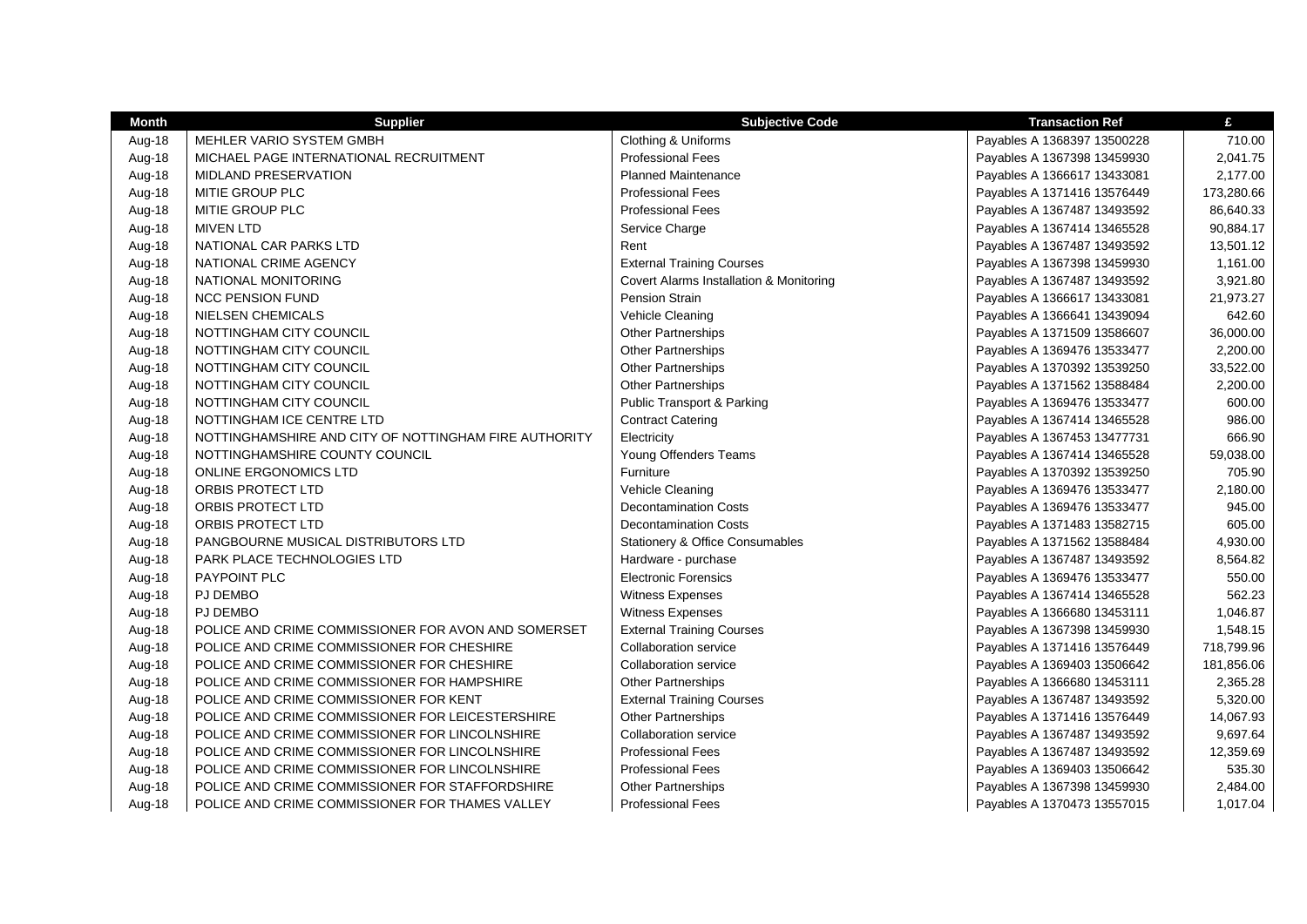| <b>Month</b> | <b>Supplier</b>                                       | <b>Subjective Code</b>                     | <b>Transaction Ref</b>      | £          |
|--------------|-------------------------------------------------------|--------------------------------------------|-----------------------------|------------|
| Aug-18       | MEHLER VARIO SYSTEM GMBH                              | Clothing & Uniforms                        | Payables A 1368397 13500228 | 710.00     |
| Aug-18       | MICHAEL PAGE INTERNATIONAL RECRUITMENT                | <b>Professional Fees</b>                   | Payables A 1367398 13459930 | 2,041.75   |
| Aug-18       | <b>MIDLAND PRESERVATION</b>                           | <b>Planned Maintenance</b>                 | Payables A 1366617 13433081 | 2,177.00   |
| Aug-18       | MITIE GROUP PLC                                       | <b>Professional Fees</b>                   | Payables A 1371416 13576449 | 173,280.66 |
| Aug-18       | MITIE GROUP PLC                                       | <b>Professional Fees</b>                   | Payables A 1367487 13493592 | 86,640.33  |
| Aug-18       | <b>MIVEN LTD</b>                                      | Service Charge                             | Payables A 1367414 13465528 | 90,884.17  |
| Aug-18       | NATIONAL CAR PARKS LTD                                | Rent                                       | Payables A 1367487 13493592 | 13,501.12  |
| Aug-18       | NATIONAL CRIME AGENCY                                 | <b>External Training Courses</b>           | Payables A 1367398 13459930 | 1,161.00   |
| Aug-18       | NATIONAL MONITORING                                   | Covert Alarms Installation & Monitoring    | Payables A 1367487 13493592 | 3,921.80   |
| Aug-18       | <b>NCC PENSION FUND</b>                               | Pension Strain                             | Payables A 1366617 13433081 | 21,973.27  |
| Aug-18       | <b>NIELSEN CHEMICALS</b>                              | Vehicle Cleaning                           | Payables A 1366641 13439094 | 642.60     |
| Aug-18       | NOTTINGHAM CITY COUNCIL                               | <b>Other Partnerships</b>                  | Payables A 1371509 13586607 | 36,000.00  |
| Aug-18       | NOTTINGHAM CITY COUNCIL                               | <b>Other Partnerships</b>                  | Payables A 1369476 13533477 | 2,200.00   |
| Aug-18       | NOTTINGHAM CITY COUNCIL                               | Other Partnerships                         | Payables A 1370392 13539250 | 33,522.00  |
| Aug-18       | NOTTINGHAM CITY COUNCIL                               | <b>Other Partnerships</b>                  | Payables A 1371562 13588484 | 2,200.00   |
| Aug-18       | NOTTINGHAM CITY COUNCIL                               | <b>Public Transport &amp; Parking</b>      | Payables A 1369476 13533477 | 600.00     |
| Aug-18       | NOTTINGHAM ICE CENTRE LTD                             | <b>Contract Catering</b>                   | Payables A 1367414 13465528 | 986.00     |
| Aug-18       | NOTTINGHAMSHIRE AND CITY OF NOTTINGHAM FIRE AUTHORITY | Electricity                                | Payables A 1367453 13477731 | 666.90     |
| Aug-18       | NOTTINGHAMSHIRE COUNTY COUNCIL                        | Young Offenders Teams                      | Payables A 1367414 13465528 | 59,038.00  |
| Aug-18       | <b>ONLINE ERGONOMICS LTD</b>                          | Furniture                                  | Payables A 1370392 13539250 | 705.90     |
| Aug-18       | ORBIS PROTECT LTD                                     | Vehicle Cleaning                           | Payables A 1369476 13533477 | 2,180.00   |
| Aug-18       | ORBIS PROTECT LTD                                     | <b>Decontamination Costs</b>               | Payables A 1369476 13533477 | 945.00     |
| Aug-18       | ORBIS PROTECT LTD                                     | <b>Decontamination Costs</b>               | Payables A 1371483 13582715 | 605.00     |
| Aug-18       | PANGBOURNE MUSICAL DISTRIBUTORS LTD                   | <b>Stationery &amp; Office Consumables</b> | Payables A 1371562 13588484 | 4,930.00   |
| Aug-18       | PARK PLACE TECHNOLOGIES LTD                           | Hardware - purchase                        | Payables A 1367487 13493592 | 8,564.82   |
| Aug-18       | PAYPOINT PLC                                          | <b>Electronic Forensics</b>                | Payables A 1369476 13533477 | 550.00     |
| Aug-18       | <b>PJ DEMBO</b>                                       | Witness Expenses                           | Payables A 1367414 13465528 | 562.23     |
| Aug-18       | PJ DEMBO                                              | <b>Witness Expenses</b>                    | Payables A 1366680 13453111 | 1,046.87   |
| Aug-18       | POLICE AND CRIME COMMISSIONER FOR AVON AND SOMERSET   | <b>External Training Courses</b>           | Payables A 1367398 13459930 | 1,548.15   |
| Aug-18       | POLICE AND CRIME COMMISSIONER FOR CHESHIRE            | <b>Collaboration service</b>               | Payables A 1371416 13576449 | 718,799.96 |
| Aug-18       | POLICE AND CRIME COMMISSIONER FOR CHESHIRE            | <b>Collaboration service</b>               | Payables A 1369403 13506642 | 181,856.06 |
| Aug-18       | POLICE AND CRIME COMMISSIONER FOR HAMPSHIRE           | Other Partnerships                         | Payables A 1366680 13453111 | 2,365.28   |
| Aug-18       | POLICE AND CRIME COMMISSIONER FOR KENT                | <b>External Training Courses</b>           | Payables A 1367487 13493592 | 5,320.00   |
| Aug-18       | POLICE AND CRIME COMMISSIONER FOR LEICESTERSHIRE      | <b>Other Partnerships</b>                  | Payables A 1371416 13576449 | 14,067.93  |
| Aug-18       | POLICE AND CRIME COMMISSIONER FOR LINCOLNSHIRE        | <b>Collaboration service</b>               | Payables A 1367487 13493592 | 9,697.64   |
| Aug-18       | POLICE AND CRIME COMMISSIONER FOR LINCOLNSHIRE        | <b>Professional Fees</b>                   | Payables A 1367487 13493592 | 12,359.69  |
| Aug-18       | POLICE AND CRIME COMMISSIONER FOR LINCOLNSHIRE        | <b>Professional Fees</b>                   | Payables A 1369403 13506642 | 535.30     |
| Aug-18       | POLICE AND CRIME COMMISSIONER FOR STAFFORDSHIRE       | <b>Other Partnerships</b>                  | Payables A 1367398 13459930 | 2,484.00   |
| Aug-18       | POLICE AND CRIME COMMISSIONER FOR THAMES VALLEY       | <b>Professional Fees</b>                   | Payables A 1370473 13557015 | 1,017.04   |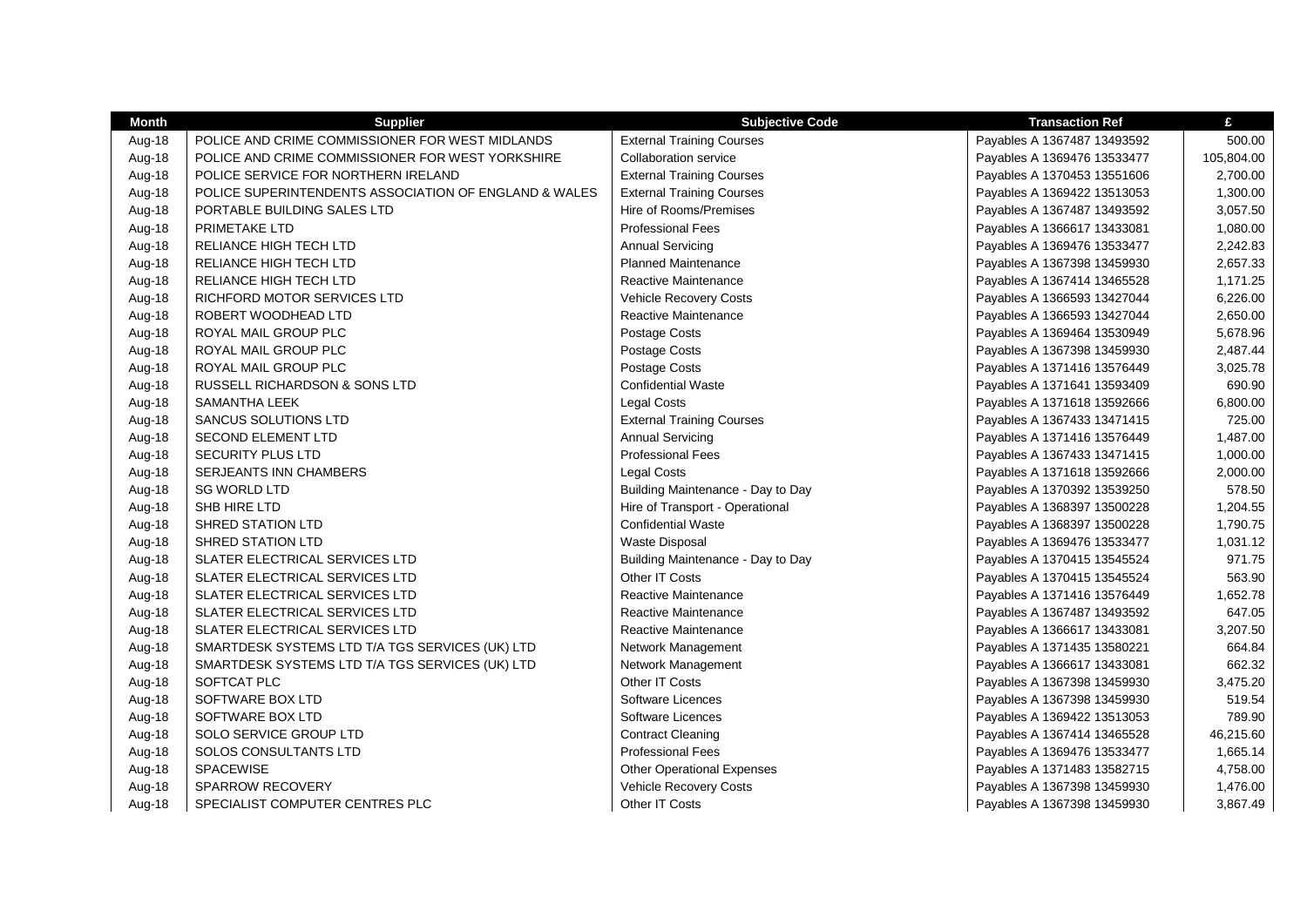| Month  | <b>Supplier</b>                                       | <b>Subjective Code</b>            | <b>Transaction Ref</b>      | £          |
|--------|-------------------------------------------------------|-----------------------------------|-----------------------------|------------|
| Aug-18 | POLICE AND CRIME COMMISSIONER FOR WEST MIDLANDS       | <b>External Training Courses</b>  | Payables A 1367487 13493592 | 500.00     |
| Aug-18 | POLICE AND CRIME COMMISSIONER FOR WEST YORKSHIRE      | <b>Collaboration service</b>      | Payables A 1369476 13533477 | 105,804.00 |
| Aug-18 | POLICE SERVICE FOR NORTHERN IRELAND                   | <b>External Training Courses</b>  | Payables A 1370453 13551606 | 2,700.00   |
| Aug-18 | POLICE SUPERINTENDENTS ASSOCIATION OF ENGLAND & WALES | <b>External Training Courses</b>  | Payables A 1369422 13513053 | 1,300.00   |
| Aug-18 | PORTABLE BUILDING SALES LTD                           | Hire of Rooms/Premises            | Payables A 1367487 13493592 | 3,057.50   |
| Aug-18 | PRIMETAKE LTD                                         | <b>Professional Fees</b>          | Payables A 1366617 13433081 | 1,080.00   |
| Aug-18 | RELIANCE HIGH TECH LTD                                | <b>Annual Servicing</b>           | Payables A 1369476 13533477 | 2,242.83   |
| Aug-18 | RELIANCE HIGH TECH LTD                                | <b>Planned Maintenance</b>        | Payables A 1367398 13459930 | 2,657.33   |
| Aug-18 | RELIANCE HIGH TECH LTD                                | Reactive Maintenance              | Payables A 1367414 13465528 | 1,171.25   |
| Aug-18 | RICHFORD MOTOR SERVICES LTD                           | Vehicle Recovery Costs            | Payables A 1366593 13427044 | 6,226.00   |
| Aug-18 | ROBERT WOODHEAD LTD                                   | Reactive Maintenance              | Payables A 1366593 13427044 | 2,650.00   |
| Aug-18 | ROYAL MAIL GROUP PLC                                  | Postage Costs                     | Payables A 1369464 13530949 | 5,678.96   |
| Aug-18 | ROYAL MAIL GROUP PLC                                  | Postage Costs                     | Payables A 1367398 13459930 | 2,487.44   |
| Aug-18 | ROYAL MAIL GROUP PLC                                  | Postage Costs                     | Payables A 1371416 13576449 | 3,025.78   |
| Aug-18 | RUSSELL RICHARDSON & SONS LTD                         | <b>Confidential Waste</b>         | Payables A 1371641 13593409 | 690.90     |
| Aug-18 | <b>SAMANTHA LEEK</b>                                  | <b>Legal Costs</b>                | Payables A 1371618 13592666 | 6,800.00   |
| Aug-18 | SANCUS SOLUTIONS LTD                                  | <b>External Training Courses</b>  | Payables A 1367433 13471415 | 725.00     |
| Aug-18 | <b>SECOND ELEMENT LTD</b>                             | <b>Annual Servicing</b>           | Payables A 1371416 13576449 | 1,487.00   |
| Aug-18 | SECURITY PLUS LTD                                     | <b>Professional Fees</b>          | Payables A 1367433 13471415 | 1,000.00   |
| Aug-18 | <b>SERJEANTS INN CHAMBERS</b>                         | <b>Legal Costs</b>                | Payables A 1371618 13592666 | 2,000.00   |
| Aug-18 | <b>SG WORLD LTD</b>                                   | Building Maintenance - Day to Day | Payables A 1370392 13539250 | 578.50     |
| Aug-18 | SHB HIRE LTD                                          | Hire of Transport - Operational   | Payables A 1368397 13500228 | 1,204.55   |
| Aug-18 | SHRED STATION LTD                                     | <b>Confidential Waste</b>         | Payables A 1368397 13500228 | 1,790.75   |
| Aug-18 | <b>SHRED STATION LTD</b>                              | <b>Waste Disposal</b>             | Payables A 1369476 13533477 | 1,031.12   |
| Aug-18 | SLATER ELECTRICAL SERVICES LTD                        | Building Maintenance - Day to Day | Payables A 1370415 13545524 | 971.75     |
| Aug-18 | SLATER ELECTRICAL SERVICES LTD                        | Other IT Costs                    | Payables A 1370415 13545524 | 563.90     |
| Aug-18 | SLATER ELECTRICAL SERVICES LTD                        | Reactive Maintenance              | Payables A 1371416 13576449 | 1,652.78   |
| Aug-18 | SLATER ELECTRICAL SERVICES LTD                        | Reactive Maintenance              | Payables A 1367487 13493592 | 647.05     |
| Aug-18 | SLATER ELECTRICAL SERVICES LTD                        | <b>Reactive Maintenance</b>       | Payables A 1366617 13433081 | 3,207.50   |
| Aug-18 | SMARTDESK SYSTEMS LTD T/A TGS SERVICES (UK) LTD       | Network Management                | Payables A 1371435 13580221 | 664.84     |
| Aug-18 | SMARTDESK SYSTEMS LTD T/A TGS SERVICES (UK) LTD       | Network Management                | Payables A 1366617 13433081 | 662.32     |
| Aug-18 | SOFTCAT PLC                                           | Other IT Costs                    | Payables A 1367398 13459930 | 3,475.20   |
| Aug-18 | SOFTWARE BOX LTD                                      | Software Licences                 | Payables A 1367398 13459930 | 519.54     |
| Aug-18 | SOFTWARE BOX LTD                                      | Software Licences                 | Payables A 1369422 13513053 | 789.90     |
| Aug-18 | SOLO SERVICE GROUP LTD                                | <b>Contract Cleaning</b>          | Payables A 1367414 13465528 | 46,215.60  |
| Aug-18 | SOLOS CONSULTANTS LTD                                 | <b>Professional Fees</b>          | Payables A 1369476 13533477 | 1,665.14   |
| Aug-18 | SPACEWISE                                             | <b>Other Operational Expenses</b> | Payables A 1371483 13582715 | 4,758.00   |
| Aug-18 | SPARROW RECOVERY                                      | <b>Vehicle Recovery Costs</b>     | Payables A 1367398 13459930 | 1,476.00   |
| Aug-18 | SPECIALIST COMPUTER CENTRES PLC                       | Other IT Costs                    | Payables A 1367398 13459930 | 3,867.49   |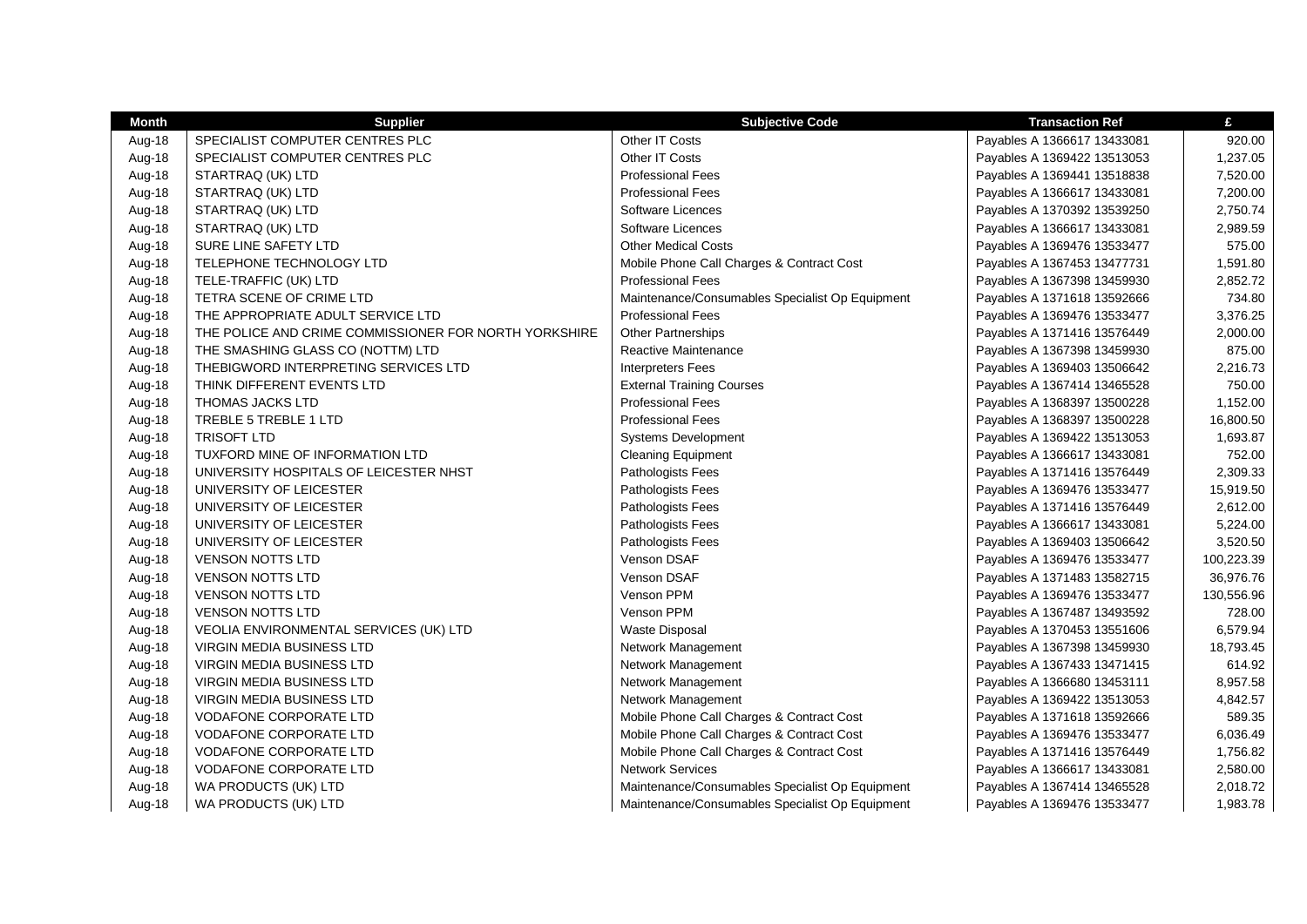| <b>Month</b> | <b>Supplier</b>                                       | <b>Subjective Code</b>                          | <b>Transaction Ref</b>      | £          |
|--------------|-------------------------------------------------------|-------------------------------------------------|-----------------------------|------------|
| Aug-18       | SPECIALIST COMPUTER CENTRES PLC                       | Other IT Costs                                  | Payables A 1366617 13433081 | 920.00     |
| Aug-18       | SPECIALIST COMPUTER CENTRES PLC                       | Other IT Costs                                  | Payables A 1369422 13513053 | 1,237.05   |
| Aug-18       | STARTRAQ (UK) LTD                                     | <b>Professional Fees</b>                        | Payables A 1369441 13518838 | 7,520.00   |
| Aug-18       | STARTRAQ (UK) LTD                                     | <b>Professional Fees</b>                        | Payables A 1366617 13433081 | 7,200.00   |
| Aug-18       | STARTRAQ (UK) LTD                                     | Software Licences                               | Payables A 1370392 13539250 | 2,750.74   |
| Aug-18       | STARTRAQ (UK) LTD                                     | Software Licences                               | Payables A 1366617 13433081 | 2,989.59   |
| Aug-18       | SURE LINE SAFETY LTD                                  | <b>Other Medical Costs</b>                      | Payables A 1369476 13533477 | 575.00     |
| Aug-18       | TELEPHONE TECHNOLOGY LTD                              | Mobile Phone Call Charges & Contract Cost       | Payables A 1367453 13477731 | 1,591.80   |
| Aug-18       | TELE-TRAFFIC (UK) LTD                                 | <b>Professional Fees</b>                        | Payables A 1367398 13459930 | 2,852.72   |
| Aug-18       | TETRA SCENE OF CRIME LTD                              | Maintenance/Consumables Specialist Op Equipment | Payables A 1371618 13592666 | 734.80     |
| Aug-18       | THE APPROPRIATE ADULT SERVICE LTD                     | <b>Professional Fees</b>                        | Payables A 1369476 13533477 | 3,376.25   |
| Aug-18       | THE POLICE AND CRIME COMMISSIONER FOR NORTH YORKSHIRE | <b>Other Partnerships</b>                       | Payables A 1371416 13576449 | 2,000.00   |
| Aug-18       | THE SMASHING GLASS CO (NOTTM) LTD                     | Reactive Maintenance                            | Payables A 1367398 13459930 | 875.00     |
| Aug-18       | THEBIGWORD INTERPRETING SERVICES LTD                  | <b>Interpreters Fees</b>                        | Payables A 1369403 13506642 | 2,216.73   |
| Aug-18       | THINK DIFFERENT EVENTS LTD                            | <b>External Training Courses</b>                | Payables A 1367414 13465528 | 750.00     |
| Aug-18       | <b>THOMAS JACKS LTD</b>                               | <b>Professional Fees</b>                        | Payables A 1368397 13500228 | 1,152.00   |
| Aug-18       | TREBLE 5 TREBLE 1 LTD                                 | <b>Professional Fees</b>                        | Payables A 1368397 13500228 | 16,800.50  |
| Aug-18       | <b>TRISOFT LTD</b>                                    | <b>Systems Development</b>                      | Payables A 1369422 13513053 | 1,693.87   |
| Aug-18       | TUXFORD MINE OF INFORMATION LTD                       | <b>Cleaning Equipment</b>                       | Payables A 1366617 13433081 | 752.00     |
| Aug-18       | UNIVERSITY HOSPITALS OF LEICESTER NHST                | Pathologists Fees                               | Payables A 1371416 13576449 | 2,309.33   |
| Aug-18       | UNIVERSITY OF LEICESTER                               | Pathologists Fees                               | Payables A 1369476 13533477 | 15,919.50  |
| Aug-18       | UNIVERSITY OF LEICESTER                               | Pathologists Fees                               | Payables A 1371416 13576449 | 2,612.00   |
| Aug-18       | UNIVERSITY OF LEICESTER                               | Pathologists Fees                               | Payables A 1366617 13433081 | 5,224.00   |
| Aug-18       | UNIVERSITY OF LEICESTER                               | Pathologists Fees                               | Payables A 1369403 13506642 | 3,520.50   |
| Aug-18       | <b>VENSON NOTTS LTD</b>                               | Venson DSAF                                     | Payables A 1369476 13533477 | 100,223.39 |
| Aug-18       | <b>VENSON NOTTS LTD</b>                               | Venson DSAF                                     | Payables A 1371483 13582715 | 36,976.76  |
| Aug-18       | <b>VENSON NOTTS LTD</b>                               | Venson PPM                                      | Payables A 1369476 13533477 | 130,556.96 |
| Aug-18       | <b>VENSON NOTTS LTD</b>                               | Venson PPM                                      | Payables A 1367487 13493592 | 728.00     |
| Aug-18       | VEOLIA ENVIRONMENTAL SERVICES (UK) LTD                | <b>Waste Disposal</b>                           | Payables A 1370453 13551606 | 6,579.94   |
| Aug-18       | <b>VIRGIN MEDIA BUSINESS LTD</b>                      | Network Management                              | Payables A 1367398 13459930 | 18,793.45  |
| Aug-18       | <b>VIRGIN MEDIA BUSINESS LTD</b>                      | Network Management                              | Payables A 1367433 13471415 | 614.92     |
| Aug-18       | <b>VIRGIN MEDIA BUSINESS LTD</b>                      | Network Management                              | Payables A 1366680 13453111 | 8,957.58   |
| Aug-18       | <b>VIRGIN MEDIA BUSINESS LTD</b>                      | Network Management                              | Payables A 1369422 13513053 | 4,842.57   |
| Aug-18       | <b>VODAFONE CORPORATE LTD</b>                         | Mobile Phone Call Charges & Contract Cost       | Payables A 1371618 13592666 | 589.35     |
| Aug-18       | <b>VODAFONE CORPORATE LTD</b>                         | Mobile Phone Call Charges & Contract Cost       | Payables A 1369476 13533477 | 6,036.49   |
| Aug-18       | <b>VODAFONE CORPORATE LTD</b>                         | Mobile Phone Call Charges & Contract Cost       | Payables A 1371416 13576449 | 1,756.82   |
| Aug-18       | <b>VODAFONE CORPORATE LTD</b>                         | <b>Network Services</b>                         | Payables A 1366617 13433081 | 2,580.00   |
| Aug-18       | WA PRODUCTS (UK) LTD                                  | Maintenance/Consumables Specialist Op Equipment | Payables A 1367414 13465528 | 2,018.72   |
| Aug-18       | WA PRODUCTS (UK) LTD                                  | Maintenance/Consumables Specialist Op Equipment | Payables A 1369476 13533477 | 1,983.78   |